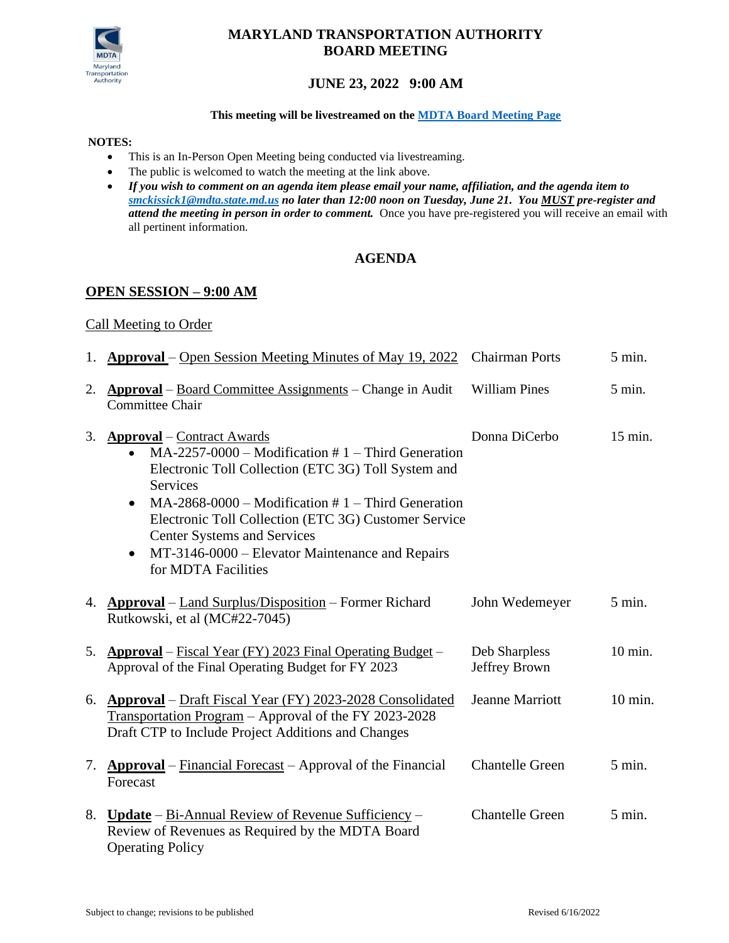

# **MARYLAND TRANSPORTATION AUTHORITY BOARD MEETING**

# **JUNE 23, 2022 9:00 AM**

#### **This meeting will be livestreamed on the [MDTA Board Meeting](https://gcc01.safelinks.protection.outlook.com/?url=https%3A%2F%2Fmdta.maryland.gov%2FMeeting_Schedules%2FMDTA_Board_Meeting_Schedule.html&data=02%7C01%7Cnhenson%40mdta.state.md.us%7Ca9ee4e8bf4864d0b6da708d85e46ec1c%7Cb38cd27c57ca4597be2822df43dd47f1%7C0%7C0%7C637363005980465858&sdata=SekRvVWkchcbdoh5ptcB9hQYT6PzF8BV0hruZgFf0c8%3D&reserved=0) Page**

#### **NOTES:**

- This is an In-Person Open Meeting being conducted via livestreaming.
- The public is welcomed to watch the meeting at the link above.
- *If you wish to comment on an agenda item please email your name, affiliation, and the agenda item to [smckissick1@mdta.state.md.us](mailto:smckissick1@mdta.state.md.us) no later than 12:00 noon on Tuesday, June 21. You MUST pre-register and attend the meeting in person in order to comment.* Once you have pre-registered you will receive an email with all pertinent information.

## **AGENDA**

#### **OPEN SESSION – 9:00 AM**

#### Call Meeting to Order

|    | 1. <b>Approval</b> – Open Session Meeting Minutes of May 19, 2022                                                                                                                                                                                                                                                                                                                                                                         | <b>Chairman Ports</b>          | 5 min.           |
|----|-------------------------------------------------------------------------------------------------------------------------------------------------------------------------------------------------------------------------------------------------------------------------------------------------------------------------------------------------------------------------------------------------------------------------------------------|--------------------------------|------------------|
| 2. | <b>Approval</b> – Board Committee Assignments – Change in Audit<br><b>Committee Chair</b>                                                                                                                                                                                                                                                                                                                                                 | <b>William Pines</b>           | 5 min.           |
| 3. | <b>Approval</b> – Contract Awards<br>$MA-2257-0000$ – Modification #1 – Third Generation<br>$\bullet$<br>Electronic Toll Collection (ETC 3G) Toll System and<br><b>Services</b><br>$MA-2868-0000$ – Modification # 1 – Third Generation<br>$\bullet$<br>Electronic Toll Collection (ETC 3G) Customer Service<br><b>Center Systems and Services</b><br>MT-3146-0000 – Elevator Maintenance and Repairs<br>$\bullet$<br>for MDTA Facilities | Donna DiCerbo                  | 15 min.          |
|    | 4. <b>Approval</b> – Land Surplus/Disposition – Former Richard<br>Rutkowski, et al (MC#22-7045)                                                                                                                                                                                                                                                                                                                                           | John Wedemeyer                 | $5 \text{ min.}$ |
| 5. | <b>Approval</b> – Fiscal Year (FY) 2023 Final Operating Budget –<br>Approval of the Final Operating Budget for FY 2023                                                                                                                                                                                                                                                                                                                    | Deb Sharpless<br>Jeffrey Brown | 10 min.          |
|    | 6. Approval – Draft Fiscal Year (FY) 2023-2028 Consolidated<br>Transportation Program - Approval of the FY 2023-2028<br>Draft CTP to Include Project Additions and Changes                                                                                                                                                                                                                                                                | <b>Jeanne Marriott</b>         | $10$ min.        |
| 7. | <b>Approval</b> – Financial Forecast – Approval of the Financial<br>Forecast                                                                                                                                                                                                                                                                                                                                                              | <b>Chantelle Green</b>         | $5 \text{ min.}$ |
| 8. | Update – Bi-Annual Review of Revenue Sufficiency –<br>Review of Revenues as Required by the MDTA Board<br><b>Operating Policy</b>                                                                                                                                                                                                                                                                                                         | <b>Chantelle Green</b>         | $5$ min.         |